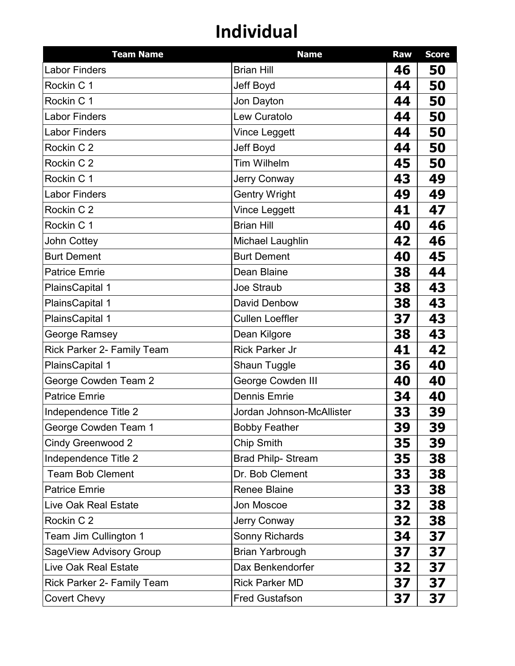| <b>Team Name</b>                  | <b>Name</b>               | Raw | <b>Score</b> |
|-----------------------------------|---------------------------|-----|--------------|
| Labor Finders                     | <b>Brian Hill</b>         | 46  | 50           |
| Rockin C 1                        | Jeff Boyd                 | 44  | 50           |
| Rockin C 1                        | Jon Dayton                | 44  | 50           |
| <b>Labor Finders</b>              | Lew Curatolo              | 44  | 50           |
| <b>Labor Finders</b>              | Vince Leggett             | 44  | 50           |
| Rockin C 2                        | Jeff Boyd                 | 44  | 50           |
| Rockin C 2                        | <b>Tim Wilhelm</b>        | 45  | 50           |
| Rockin C 1                        | Jerry Conway              | 43  | 49           |
| <b>Labor Finders</b>              | <b>Gentry Wright</b>      | 49  | 49           |
| Rockin C 2                        | Vince Leggett             | 41  | 47           |
| Rockin C 1                        | <b>Brian Hill</b>         | 40  | 46           |
| John Cottey                       | Michael Laughlin          | 42  | 46           |
| <b>Burt Dement</b>                | <b>Burt Dement</b>        | 40  | 45           |
| <b>Patrice Emrie</b>              | Dean Blaine               | 38  | 44           |
| PlainsCapital 1                   | Joe Straub                | 38  | 43           |
| PlainsCapital 1                   | <b>David Denbow</b>       | 38  | 43           |
| PlainsCapital 1                   | <b>Cullen Loeffler</b>    | 37  | 43           |
| George Ramsey                     | Dean Kilgore              | 38  | 43           |
| Rick Parker 2- Family Team        | <b>Rick Parker Jr</b>     | 41  | 42           |
| PlainsCapital 1                   | <b>Shaun Tuggle</b>       | 36  | 40           |
| George Cowden Team 2              | George Cowden III         | 40  | 40           |
| <b>Patrice Emrie</b>              | <b>Dennis Emrie</b>       | 34  | 40           |
| Independence Title 2              | Jordan Johnson-McAllister | 33  | 39           |
| George Cowden Team 1              | <b>Bobby Feather</b>      | 39  | 39           |
| Cindy Greenwood 2                 | <b>Chip Smith</b>         | 35  | 39           |
| Independence Title 2              | <b>Brad Philp- Stream</b> | 35  | 38           |
| <b>Team Bob Clement</b>           | Dr. Bob Clement           | 33  | 38           |
| <b>Patrice Emrie</b>              | <b>Renee Blaine</b>       | 33  | 38           |
| <b>Live Oak Real Estate</b>       | Jon Moscoe                | 32  | 38           |
| Rockin C 2                        | <b>Jerry Conway</b>       | 32  | 38           |
| Team Jim Cullington 1             | Sonny Richards            | 34  | 37           |
| SageView Advisory Group           | <b>Brian Yarbrough</b>    | 37  | 37           |
| <b>Live Oak Real Estate</b>       | Dax Benkendorfer          | 32  | 37           |
| <b>Rick Parker 2- Family Team</b> | <b>Rick Parker MD</b>     | 37  | 37           |
| <b>Covert Chevy</b>               | <b>Fred Gustafson</b>     | 37  | 37           |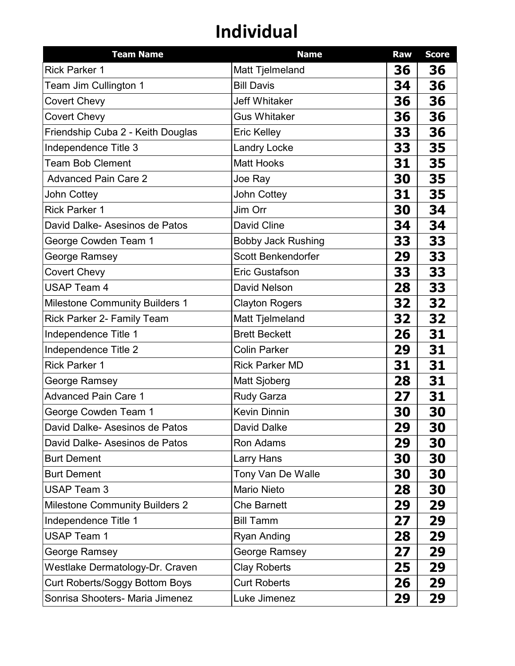| <b>Team Name</b>                      | <b>Name</b>               | Raw | <b>Score</b> |
|---------------------------------------|---------------------------|-----|--------------|
| <b>Rick Parker 1</b>                  | Matt Tjelmeland           | 36  | 36           |
| Team Jim Cullington 1                 | <b>Bill Davis</b>         | 34  | 36           |
| Covert Chevy                          | <b>Jeff Whitaker</b>      | 36  | 36           |
| <b>Covert Chevy</b>                   | <b>Gus Whitaker</b>       | 36  | 36           |
| Friendship Cuba 2 - Keith Douglas     | <b>Eric Kelley</b>        | 33  | 36           |
| Independence Title 3                  | <b>Landry Locke</b>       | 33  | 35           |
| <b>Team Bob Clement</b>               | <b>Matt Hooks</b>         | 31  | 35           |
| <b>Advanced Pain Care 2</b>           | Joe Ray                   | 30  | 35           |
| John Cottey                           | John Cottey               | 31  | 35           |
| <b>Rick Parker 1</b>                  | Jim Orr                   | 30  | 34           |
| David Dalke- Asesinos de Patos        | David Cline               | 34  | 34           |
| George Cowden Team 1                  | <b>Bobby Jack Rushing</b> | 33  | 33           |
| George Ramsey                         | Scott Benkendorfer        | 29  | 33           |
| Covert Chevy                          | <b>Eric Gustafson</b>     | 33  | 33           |
| <b>USAP Team 4</b>                    | <b>David Nelson</b>       | 28  | 33           |
| <b>Milestone Community Builders 1</b> | <b>Clayton Rogers</b>     | 32  | 32           |
| <b>Rick Parker 2- Family Team</b>     | Matt Tjelmeland           | 32  | 32           |
| Independence Title 1                  | <b>Brett Beckett</b>      | 26  | 31           |
| Independence Title 2                  | <b>Colin Parker</b>       | 29  | 31           |
| <b>Rick Parker 1</b>                  | <b>Rick Parker MD</b>     | 31  | 31           |
| George Ramsey                         | Matt Sjoberg              | 28  | 31           |
| <b>Advanced Pain Care 1</b>           | <b>Rudy Garza</b>         | 27  | 31           |
| George Cowden Team 1                  | <b>Kevin Dinnin</b>       | 30  | 30           |
| David Dalke- Asesinos de Patos        | David Dalke               | 29  | 30           |
| David Dalke- Asesinos de Patos        | Ron Adams                 | 29  | 30           |
| <b>Burt Dement</b>                    | Larry Hans                | 30  | 30           |
| <b>Burt Dement</b>                    | Tony Van De Walle         | 30  | 30           |
| <b>USAP Team 3</b>                    | <b>Mario Nieto</b>        | 28  | 30           |
| <b>Milestone Community Builders 2</b> | <b>Che Barnett</b>        | 29  | 29           |
| Independence Title 1                  | <b>Bill Tamm</b>          | 27  | 29           |
| <b>USAP Team 1</b>                    | <b>Ryan Anding</b>        | 28  | 29           |
| George Ramsey                         | George Ramsey             | 27  | 29           |
| Westlake Dermatology-Dr. Craven       | <b>Clay Roberts</b>       | 25  | 29           |
| Curt Roberts/Soggy Bottom Boys        | <b>Curt Roberts</b>       | 26  | 29           |
| Sonrisa Shooters- Maria Jimenez       | Luke Jimenez              | 29  | 29           |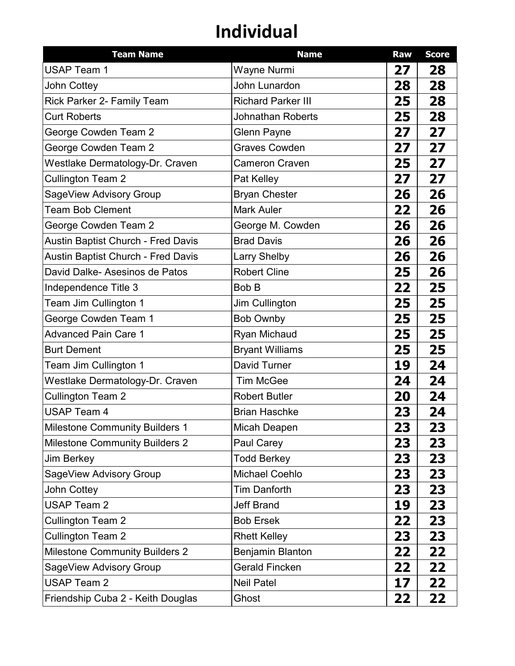| <b>Team Name</b>                          | <b>Name</b>               | Raw | <b>Score</b> |
|-------------------------------------------|---------------------------|-----|--------------|
| <b>USAP Team 1</b>                        | Wayne Nurmi               | 27  | 28           |
| John Cottey                               | John Lunardon             | 28  | 28           |
| Rick Parker 2- Family Team                | <b>Richard Parker III</b> | 25  | 28           |
| <b>Curt Roberts</b>                       | <b>Johnathan Roberts</b>  | 25  | 28           |
| George Cowden Team 2                      | <b>Glenn Payne</b>        | 27  | 27           |
| George Cowden Team 2                      | <b>Graves Cowden</b>      | 27  | 27           |
| Westlake Dermatology-Dr. Craven           | <b>Cameron Craven</b>     | 25  | 27           |
| <b>Cullington Team 2</b>                  | Pat Kelley                | 27  | 27           |
| SageView Advisory Group                   | <b>Bryan Chester</b>      | 26  | 26           |
| <b>Team Bob Clement</b>                   | <b>Mark Auler</b>         | 22  | 26           |
| George Cowden Team 2                      | George M. Cowden          | 26  | 26           |
| <b>Austin Baptist Church - Fred Davis</b> | <b>Brad Davis</b>         | 26  | 26           |
| <b>Austin Baptist Church - Fred Davis</b> | <b>Larry Shelby</b>       | 26  | 26           |
| David Dalke- Asesinos de Patos            | <b>Robert Cline</b>       | 25  | 26           |
| Independence Title 3                      | Bob B                     | 22  | 25           |
| Team Jim Cullington 1                     | Jim Cullington            | 25  | 25           |
| George Cowden Team 1                      | <b>Bob Ownby</b>          | 25  | 25           |
| <b>Advanced Pain Care 1</b>               | <b>Ryan Michaud</b>       | 25  | 25           |
| <b>Burt Dement</b>                        | <b>Bryant Williams</b>    | 25  | 25           |
| Team Jim Cullington 1                     | David Turner              | 19  | 24           |
| Westlake Dermatology-Dr. Craven           | <b>Tim McGee</b>          | 24  | 24           |
| <b>Cullington Team 2</b>                  | <b>Robert Butler</b>      | 20  | 24           |
| <b>USAP Team 4</b>                        | <b>Brian Haschke</b>      | 23  | 24           |
| <b>Milestone Community Builders 1</b>     | Micah Deapen              | 23  | 23           |
| <b>Milestone Community Builders 2</b>     | Paul Carey                | 23  | 23           |
| <b>Jim Berkey</b>                         | <b>Todd Berkey</b>        | 23  | 23           |
| SageView Advisory Group                   | <b>Michael Coehlo</b>     | 23  | 23           |
| John Cottey                               | <b>Tim Danforth</b>       | 23  | 23           |
| <b>USAP Team 2</b>                        | <b>Jeff Brand</b>         | 19  | 23           |
| <b>Cullington Team 2</b>                  | <b>Bob Ersek</b>          | 22  | 23           |
| <b>Cullington Team 2</b>                  | <b>Rhett Kelley</b>       | 23  | 23           |
| <b>Milestone Community Builders 2</b>     | Benjamin Blanton          | 22  | 22           |
| SageView Advisory Group                   | <b>Gerald Fincken</b>     | 22  | 22           |
| <b>USAP Team 2</b>                        | <b>Neil Patel</b>         | 17  | 22           |
| Friendship Cuba 2 - Keith Douglas         | Ghost                     | 22  | 22           |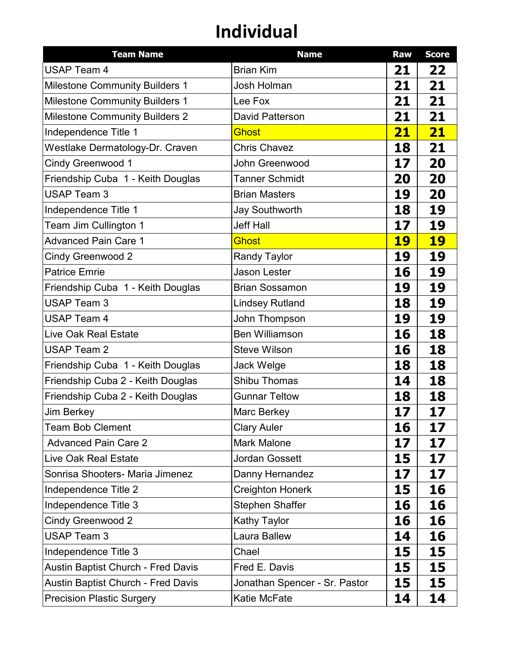| <b>Team Name</b>                          | <b>Name</b>                   | Raw       | <b>Score</b> |
|-------------------------------------------|-------------------------------|-----------|--------------|
| <b>USAP Team 4</b>                        | <b>Brian Kim</b>              | 21        | 22           |
| <b>Milestone Community Builders 1</b>     | <b>Josh Holman</b>            | 21        | 21           |
| <b>Milestone Community Builders 1</b>     | Lee Fox                       | 21        | 21           |
| <b>Milestone Community Builders 2</b>     | <b>David Patterson</b>        | 21        | 21           |
| Independence Title 1                      | <b>Ghost</b>                  | <u>21</u> | 21           |
| Westlake Dermatology-Dr. Craven           | <b>Chris Chavez</b>           | 18        | 21           |
| <b>Cindy Greenwood 1</b>                  | John Greenwood                | 17        | 20           |
| Friendship Cuba 1 - Keith Douglas         | <b>Tanner Schmidt</b>         | 20        | 20           |
| <b>USAP Team 3</b>                        | <b>Brian Masters</b>          | 19        | 20           |
| Independence Title 1                      | <b>Jay Southworth</b>         | 18        | 19           |
| Team Jim Cullington 1                     | <b>Jeff Hall</b>              | 17        | 19           |
| <b>Advanced Pain Care 1</b>               | <b>Ghost</b>                  | 19        | <b>19</b>    |
| <b>Cindy Greenwood 2</b>                  | <b>Randy Taylor</b>           | 19        | 19           |
| <b>Patrice Emrie</b>                      | <b>Jason Lester</b>           | 16        | 19           |
| Friendship Cuba 1 - Keith Douglas         | <b>Brian Sossamon</b>         | 19        | 19           |
| <b>USAP Team 3</b>                        | <b>Lindsey Rutland</b>        | 18        | 19           |
| <b>USAP Team 4</b>                        | John Thompson                 | 19        | 19           |
| <b>Live Oak Real Estate</b>               | <b>Ben Williamson</b>         | 16        | 18           |
| <b>USAP Team 2</b>                        | <b>Steve Wilson</b>           | 16        | 18           |
| Friendship Cuba 1 - Keith Douglas         | Jack Welge                    | 18        | 18           |
| Friendship Cuba 2 - Keith Douglas         | <b>Shibu Thomas</b>           | 14        | 18           |
| Friendship Cuba 2 - Keith Douglas         | <b>Gunnar Teltow</b>          | 18        | 18           |
| <b>Jim Berkey</b>                         | Marc Berkey                   | 17        | 17           |
| <b>Team Bob Clement</b>                   | <b>Clary Auler</b>            | 16        | 17           |
| <b>Advanced Pain Care 2</b>               | <b>Mark Malone</b>            | 17        | 17           |
| <b>Live Oak Real Estate</b>               | <b>Jordan Gossett</b>         | 15        | 17           |
| Sonrisa Shooters- Maria Jimenez           | Danny Hernandez               | 17        | 17           |
| Independence Title 2                      | Creighton Honerk              | 15        | 16           |
| Independence Title 3                      | <b>Stephen Shaffer</b>        | 16        | 16           |
| <b>Cindy Greenwood 2</b>                  | <b>Kathy Taylor</b>           | 16        | 16           |
| <b>USAP Team 3</b>                        | Laura Ballew                  | 14        | 16           |
| Independence Title 3                      | Chael                         | 15        | 15           |
| <b>Austin Baptist Church - Fred Davis</b> | Fred E. Davis                 | 15        | 15           |
| <b>Austin Baptist Church - Fred Davis</b> | Jonathan Spencer - Sr. Pastor | 15        | 15           |
| <b>Precision Plastic Surgery</b>          | Katie McFate                  | 14        | 14           |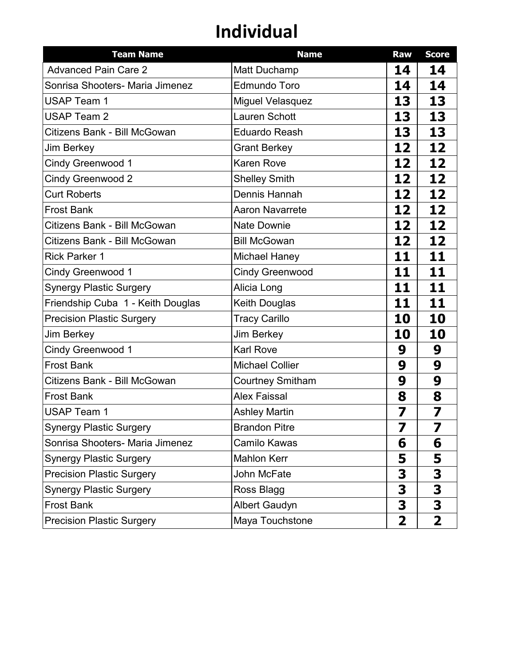| <b>Team Name</b>                  | <b>Name</b>             | Raw                     | <b>Score</b> |
|-----------------------------------|-------------------------|-------------------------|--------------|
| <b>Advanced Pain Care 2</b>       | <b>Matt Duchamp</b>     | 14                      | 14           |
| Sonrisa Shooters- Maria Jimenez   | <b>Edmundo Toro</b>     | 14                      | 14           |
| <b>USAP Team 1</b>                | <b>Miguel Velasquez</b> | 13                      | 13           |
| <b>USAP Team 2</b>                | <b>Lauren Schott</b>    | 13                      | 13           |
| Citizens Bank - Bill McGowan      | <b>Eduardo Reash</b>    | 13                      | 13           |
| <b>Jim Berkey</b>                 | <b>Grant Berkey</b>     | 12                      | 12           |
| Cindy Greenwood 1                 | <b>Karen Rove</b>       | 12                      | 12           |
| <b>Cindy Greenwood 2</b>          | <b>Shelley Smith</b>    | 12                      | 12           |
| <b>Curt Roberts</b>               | Dennis Hannah           | 12                      | 12           |
| <b>Frost Bank</b>                 | <b>Aaron Navarrete</b>  | 12                      | 12           |
| Citizens Bank - Bill McGowan      | <b>Nate Downie</b>      | 12                      | 12           |
| Citizens Bank - Bill McGowan      | <b>Bill McGowan</b>     | 12                      | 12           |
| <b>Rick Parker 1</b>              | <b>Michael Haney</b>    | 11                      | 11           |
| <b>Cindy Greenwood 1</b>          | <b>Cindy Greenwood</b>  | 11                      | 11           |
| <b>Synergy Plastic Surgery</b>    | Alicia Long             | 11                      | 11           |
| Friendship Cuba 1 - Keith Douglas | Keith Douglas           | 11                      | 11           |
| <b>Precision Plastic Surgery</b>  | <b>Tracy Carillo</b>    | 10                      | 10           |
| <b>Jim Berkey</b>                 | Jim Berkey              | 10                      | 10           |
| <b>Cindy Greenwood 1</b>          | <b>Karl Rove</b>        | 9                       | 9            |
| <b>Frost Bank</b>                 | <b>Michael Collier</b>  | 9                       | 9            |
| Citizens Bank - Bill McGowan      | <b>Courtney Smitham</b> | 9                       | 9            |
| <b>Frost Bank</b>                 | <b>Alex Faissal</b>     | 8                       | 8            |
| <b>USAP Team 1</b>                | <b>Ashley Martin</b>    | 7                       | 7            |
| <b>Synergy Plastic Surgery</b>    | <b>Brandon Pitre</b>    | 7                       | 7            |
| Sonrisa Shooters- Maria Jimenez   | Camilo Kawas            | 6                       | 6            |
| <b>Synergy Plastic Surgery</b>    | <b>Mahlon Kerr</b>      | 5                       | 5            |
| <b>Precision Plastic Surgery</b>  | John McFate             | 3                       | 3            |
| <b>Synergy Plastic Surgery</b>    | Ross Blagg              | 3                       | 3            |
| <b>Frost Bank</b>                 | <b>Albert Gaudyn</b>    | 3                       | 3            |
| <b>Precision Plastic Surgery</b>  | Maya Touchstone         | $\overline{\mathbf{2}}$ | $\mathbf 2$  |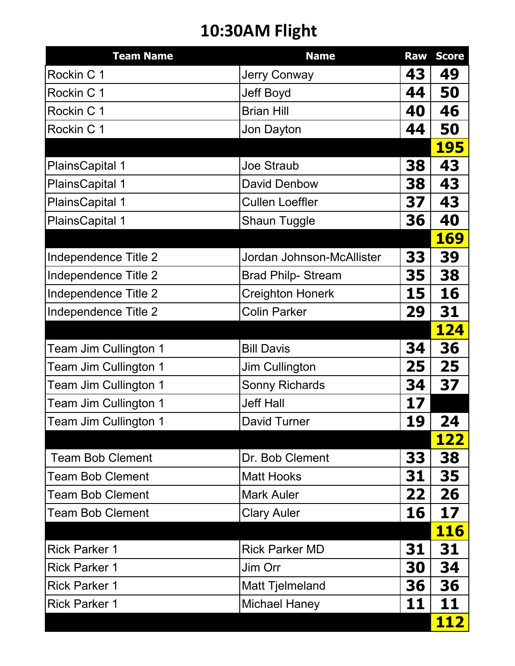### **10:30AM Flight**

| <b>Team Name</b>        | <b>Name</b>               | <b>Raw</b> | <b>Score</b> |
|-------------------------|---------------------------|------------|--------------|
| Rockin C 1              | <b>Jerry Conway</b>       | 43         | 49           |
| Rockin C 1              | <b>Jeff Boyd</b>          | 44         | 50           |
| Rockin C 1              | <b>Brian Hill</b>         | 40         | 46           |
| Rockin C 1              | Jon Dayton                | 44         | 50           |
|                         |                           |            | <b>195</b>   |
| <b>PlainsCapital 1</b>  | <b>Joe Straub</b>         | 38         | 43           |
| <b>PlainsCapital 1</b>  | <b>David Denbow</b>       | 38         | 43           |
| <b>PlainsCapital 1</b>  | <b>Cullen Loeffler</b>    | 37         | 43           |
| <b>PlainsCapital 1</b>  | <b>Shaun Tuggle</b>       | 36         | 40           |
|                         |                           |            | <b>169</b>   |
| Independence Title 2    | Jordan Johnson-McAllister | 33         | 39           |
| Independence Title 2    | <b>Brad Philp- Stream</b> | 35         | 38           |
| Independence Title 2    | <b>Creighton Honerk</b>   | 15         | 16           |
| Independence Title 2    | <b>Colin Parker</b>       | 29         | 31           |
|                         |                           |            | <b>124</b>   |
| Team Jim Cullington 1   | <b>Bill Davis</b>         | 34         | 36           |
| Team Jim Cullington 1   | <b>Jim Cullington</b>     | 25         | 25           |
| Team Jim Cullington 1   | <b>Sonny Richards</b>     | 34         | 37           |
| Team Jim Cullington 1   | <b>Jeff Hall</b>          | 17         |              |
| Team Jim Cullington 1   | David Turner              | 19         | 24           |
|                         |                           |            | <u> 122</u>  |
| <b>Team Bob Clement</b> | Dr. Bob Clement           | 33         | 38           |
| <b>Team Bob Clement</b> | <b>Matt Hooks</b>         | 31         | 35           |
| <b>Team Bob Clement</b> | <b>Mark Auler</b>         | 22         | 26           |
| <b>Team Bob Clement</b> | <b>Clary Auler</b>        | 16         | 17           |
|                         |                           |            | <b>116</b>   |
| <b>Rick Parker 1</b>    | <b>Rick Parker MD</b>     | 31         | 31           |
| <b>Rick Parker 1</b>    | Jim Orr                   | 30         | 34           |
| <b>Rick Parker 1</b>    | <b>Matt Tjelmeland</b>    | 36         | 36           |
| <b>Rick Parker 1</b>    | <b>Michael Haney</b>      | 11         | 11           |
|                         |                           |            | <u> 112</u>  |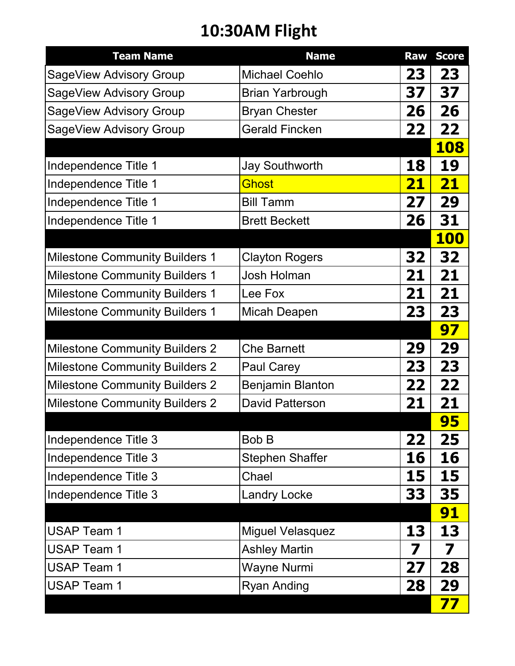### **10:30AM Flight**

| <b>Team Name</b>                      | <b>Name</b>             | <b>Raw</b> | <b>Score</b> |
|---------------------------------------|-------------------------|------------|--------------|
| SageView Advisory Group               | <b>Michael Coehlo</b>   | 23         | 23           |
| SageView Advisory Group               | <b>Brian Yarbrough</b>  | 37         | 37           |
| SageView Advisory Group               | <b>Bryan Chester</b>    | 26         | 26           |
| SageView Advisory Group               | <b>Gerald Fincken</b>   | 22         | 22           |
|                                       |                         |            | <b>108</b>   |
| Independence Title 1                  | <b>Jay Southworth</b>   | 18         | 19           |
| Independence Title 1                  | <b>Ghost</b>            | 21         | 21           |
| Independence Title 1                  | <b>Bill Tamm</b>        | 27         | 29           |
| Independence Title 1                  | <b>Brett Beckett</b>    | 26         | 31           |
|                                       |                         |            | <b>100</b>   |
| <b>Milestone Community Builders 1</b> | <b>Clayton Rogers</b>   | 32         | 32           |
| <b>Milestone Community Builders 1</b> | Josh Holman             | 21         | 21           |
| <b>Milestone Community Builders 1</b> | Lee Fox                 | 21         | 21           |
| <b>Milestone Community Builders 1</b> | Micah Deapen            | 23         | 23           |
|                                       |                         |            | 97           |
| <b>Milestone Community Builders 2</b> | <b>Che Barnett</b>      | 29         | 29           |
| <b>Milestone Community Builders 2</b> | <b>Paul Carey</b>       | 23         | 23           |
| <b>Milestone Community Builders 2</b> | <b>Benjamin Blanton</b> | 22         | 22           |
| <b>Milestone Community Builders 2</b> | <b>David Patterson</b>  | 21         | 21           |
|                                       |                         |            | 95           |
| Independence Title 3                  | <b>Bob B</b>            | 22         | 25           |
| Independence Title 3                  | <b>Stephen Shaffer</b>  | 16         | 16           |
| Independence Title 3                  | Chael                   | 15         | 15           |
| Independence Title 3                  | <b>Landry Locke</b>     | 33         | 35           |
|                                       |                         |            | <b>91</b>    |
| <b>USAP Team 1</b>                    | <b>Miguel Velasquez</b> | 13         | 13           |
| USAP Team 1                           | <b>Ashley Martin</b>    | 7          | 7            |
| <b>USAP Team 1</b>                    | <b>Wayne Nurmi</b>      | 27         | 28           |
| <b>USAP Team 1</b>                    | <b>Ryan Anding</b>      | 28         | 29           |
|                                       |                         |            | 77           |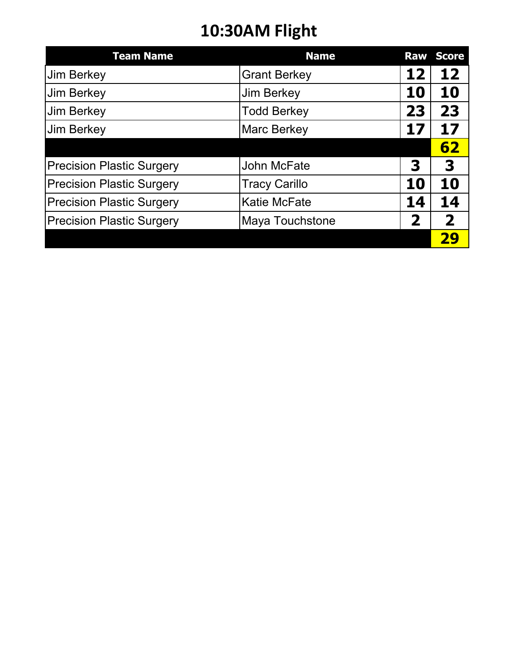### **10:30AM Flight**

| <b>Team Name</b>                 | <b>Name</b>            |    | <b>Raw Score</b> |
|----------------------------------|------------------------|----|------------------|
| <b>Jim Berkey</b>                | <b>Grant Berkey</b>    | 12 | 12               |
| <b>Jim Berkey</b>                | <b>Jim Berkey</b>      | 10 | 10               |
| <b>Jim Berkey</b>                | <b>Todd Berkey</b>     | 23 | 23               |
| <b>Jim Berkey</b>                | <b>Marc Berkey</b>     | 17 | 17               |
|                                  |                        |    | 62               |
| <b>Precision Plastic Surgery</b> | John McFate            | 3  | 3                |
| <b>Precision Plastic Surgery</b> | <b>Tracy Carillo</b>   | 10 | 10               |
| <b>Precision Plastic Surgery</b> | <b>Katie McFate</b>    | 14 | 14               |
| <b>Precision Plastic Surgery</b> | <b>Maya Touchstone</b> | 2  | $\overline{2}$   |
|                                  |                        |    |                  |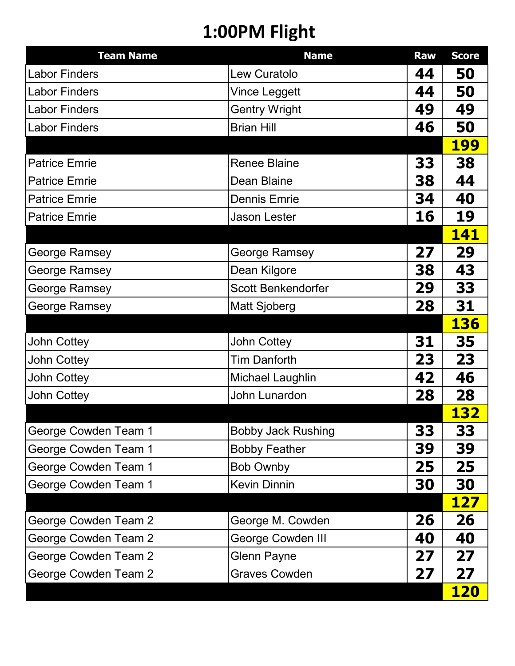## **1:00PM Flight**

| <b>Team Name</b>            | <b>Name</b>               | <b>Raw</b> | <b>Score</b> |
|-----------------------------|---------------------------|------------|--------------|
| <b>Labor Finders</b>        | Lew Curatolo              | 44         | 50           |
| <b>Labor Finders</b>        | <b>Vince Leggett</b>      | 44         | 50           |
| <b>Labor Finders</b>        | <b>Gentry Wright</b>      | 49         | 49           |
| <b>Labor Finders</b>        | <b>Brian Hill</b>         | 46         | 50           |
|                             |                           |            | <b>199</b>   |
| <b>Patrice Emrie</b>        | <b>Renee Blaine</b>       | 33         | 38           |
| <b>Patrice Emrie</b>        | Dean Blaine               | 38         | 44           |
| <b>Patrice Emrie</b>        | <b>Dennis Emrie</b>       | 34         | 40           |
| <b>Patrice Emrie</b>        | <b>Jason Lester</b>       | 16         | 19           |
|                             |                           |            | 141          |
| <b>George Ramsey</b>        | <b>George Ramsey</b>      | 27         | 29           |
| <b>George Ramsey</b>        | Dean Kilgore              | 38         | 43           |
| George Ramsey               | Scott Benkendorfer        | 29         | 33           |
| <b>George Ramsey</b>        | <b>Matt Sjoberg</b>       | 28         | 31           |
|                             |                           |            | <b>136</b>   |
| <b>John Cottey</b>          | <b>John Cottey</b>        | 31         | 35           |
| John Cottey                 | <b>Tim Danforth</b>       | 23         | 23           |
| John Cottey                 | Michael Laughlin          | 42         | 46           |
| <b>John Cottey</b>          | John Lunardon             | 28         | 28           |
|                             |                           |            | <b>132</b>   |
| George Cowden Team 1        | <b>Bobby Jack Rushing</b> | 33         | 33           |
| George Cowden Team 1        | <b>Bobby Feather</b>      | 39         | 39           |
| George Cowden Team 1        | <b>Bob Ownby</b>          | 25         | 25           |
| George Cowden Team 1        | <b>Kevin Dinnin</b>       | 30         | 30           |
|                             |                           |            | <b>127</b>   |
| George Cowden Team 2        | George M. Cowden          | 26         | 26           |
| George Cowden Team 2        | George Cowden III         | 40         | 40           |
| George Cowden Team 2        | <b>Glenn Payne</b>        | 27         | 27           |
| <b>George Cowden Team 2</b> | <b>Graves Cowden</b>      | 27         | 27           |
|                             |                           |            | <b>120</b>   |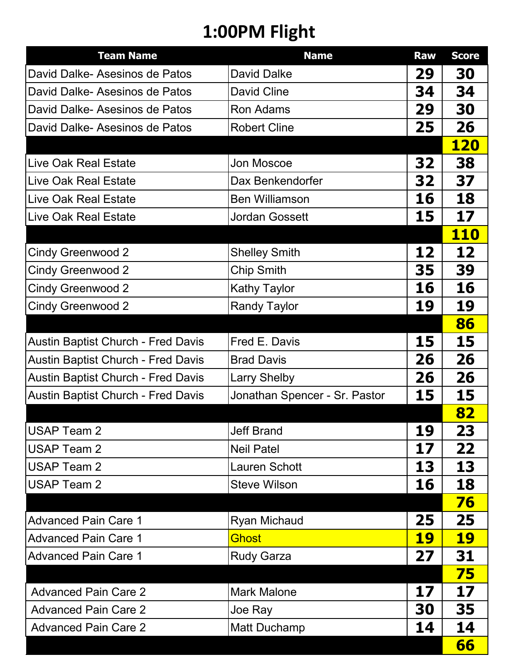# **1:00PM Flight**

| <b>Team Name</b>                          | <b>Name</b>                   | <b>Raw</b> | <b>Score</b> |
|-------------------------------------------|-------------------------------|------------|--------------|
| David Dalke-Asesinos de Patos             | <b>David Dalke</b>            | 29         | 30           |
| David Dalke- Asesinos de Patos            | David Cline                   | 34         | 34           |
| David Dalke-Asesinos de Patos             | <b>Ron Adams</b>              | 29         | 30           |
| David Dalke-Asesinos de Patos             | <b>Robert Cline</b>           | 25         | 26           |
|                                           |                               |            | <b>120</b>   |
| Live Oak Real Estate                      | Jon Moscoe                    | 32         | 38           |
| Live Oak Real Estate                      | Dax Benkendorfer              | 32         | 37           |
| Live Oak Real Estate                      | <b>Ben Williamson</b>         | 16         | 18           |
| <b>Live Oak Real Estate</b>               | <b>Jordan Gossett</b>         | 15         | 17           |
|                                           |                               |            | <b>110</b>   |
| <b>Cindy Greenwood 2</b>                  | <b>Shelley Smith</b>          | 12         | 12           |
| <b>Cindy Greenwood 2</b>                  | <b>Chip Smith</b>             | 35         | 39           |
| <b>Cindy Greenwood 2</b>                  | <b>Kathy Taylor</b>           | 16         | 16           |
| <b>Cindy Greenwood 2</b>                  | <b>Randy Taylor</b>           | 19         | 19           |
|                                           |                               |            | 86           |
| <b>Austin Baptist Church - Fred Davis</b> | Fred E. Davis                 | 15         | 15           |
| <b>Austin Baptist Church - Fred Davis</b> | <b>Brad Davis</b>             | 26         | 26           |
| <b>Austin Baptist Church - Fred Davis</b> | <b>Larry Shelby</b>           | 26         | 26           |
| <b>Austin Baptist Church - Fred Davis</b> | Jonathan Spencer - Sr. Pastor | 15         | 15           |
|                                           |                               |            | 82           |
| <b>USAP Team 2</b>                        | <b>Jeff Brand</b>             | 19         | 23           |
| <b>USAP Team 2</b>                        | <b>Neil Patel</b>             | 17         | 22           |
| <b>USAP Team 2</b>                        | <b>Lauren Schott</b>          | 13         | 13           |
| <b>USAP Team 2</b>                        | <b>Steve Wilson</b>           | 16         | 18           |
|                                           |                               |            | 76           |
| <b>Advanced Pain Care 1</b>               | <b>Ryan Michaud</b>           | 25         | 25           |
| <b>Advanced Pain Care 1</b>               | <b>Ghost</b>                  | <u> 19</u> | <u> 19</u>   |
| <b>Advanced Pain Care 1</b>               | <b>Rudy Garza</b>             | 27         | 31           |
|                                           |                               |            | 75           |
| <b>Advanced Pain Care 2</b>               | <b>Mark Malone</b>            | 17         | 17           |
| <b>Advanced Pain Care 2</b>               | Joe Ray                       | 30         | 35           |
| <b>Advanced Pain Care 2</b>               | Matt Duchamp                  | 14         | 14           |
|                                           |                               |            | 66           |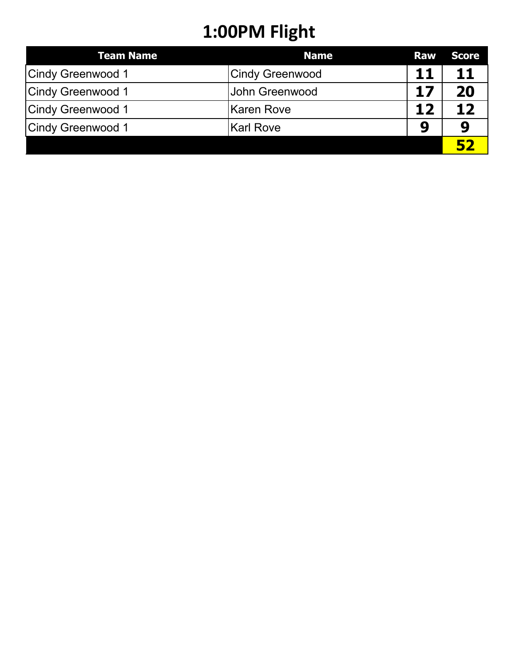## **1:00PM Flight**

| <b>Team Name</b>         | <b>Name</b>            | <b>Raw</b> | <b>Score</b> |
|--------------------------|------------------------|------------|--------------|
| Cindy Greenwood 1        | <b>Cindy Greenwood</b> | 11         |              |
| Cindy Greenwood 1        | <b>John Greenwood</b>  | 17         | 20           |
| <b>Cindy Greenwood 1</b> | Karen Rove             | 12         |              |
| Cindy Greenwood 1        | Karl Rove              | 9          |              |
|                          |                        |            |              |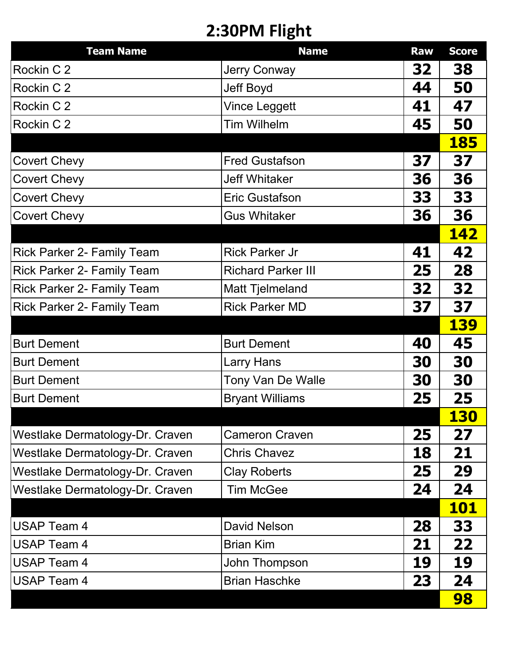### **2:30PM Flight**

| <b>Team Name</b>                  | <b>Name</b>               | <b>Raw</b> | <b>Score</b> |
|-----------------------------------|---------------------------|------------|--------------|
| Rockin C 2                        | <b>Jerry Conway</b>       | 32         | 38           |
| Rockin C 2                        | <b>Jeff Boyd</b>          | 44         | 50           |
| Rockin C 2                        | <b>Vince Leggett</b>      | 41         | 47           |
| Rockin C 2                        | <b>Tim Wilhelm</b>        | 45         | 50           |
|                                   |                           |            | <b>185</b>   |
| <b>Covert Chevy</b>               | <b>Fred Gustafson</b>     | 37         | 37           |
| <b>Covert Chevy</b>               | <b>Jeff Whitaker</b>      | 36         | 36           |
| <b>Covert Chevy</b>               | <b>Eric Gustafson</b>     | 33         | 33           |
| <b>Covert Chevy</b>               | <b>Gus Whitaker</b>       | 36         | 36           |
|                                   |                           |            | <b>142</b>   |
| <b>Rick Parker 2- Family Team</b> | <b>Rick Parker Jr</b>     | 41         | 42           |
| Rick Parker 2- Family Team        | <b>Richard Parker III</b> | 25         | 28           |
| <b>Rick Parker 2- Family Team</b> | <b>Matt Tjelmeland</b>    | 32         | 32           |
| <b>Rick Parker 2- Family Team</b> | <b>Rick Parker MD</b>     | 37         | 37           |
|                                   |                           |            | <b>139</b>   |
| <b>Burt Dement</b>                | <b>Burt Dement</b>        | 40         | 45           |
| <b>Burt Dement</b>                | Larry Hans                | 30         | 30           |
| <b>Burt Dement</b>                | Tony Van De Walle         | 30         | 30           |
| <b>Burt Dement</b>                | <b>Bryant Williams</b>    | 25         | 25           |
|                                   |                           |            | 130          |
| Westlake Dermatology-Dr. Craven   | <b>Cameron Craven</b>     | 25         | 27           |
| Westlake Dermatology-Dr. Craven   | <b>Chris Chavez</b>       | 18         | 21           |
| Westlake Dermatology-Dr. Craven   | <b>Clay Roberts</b>       | 25         | 29           |
| Westlake Dermatology-Dr. Craven   | <b>Tim McGee</b>          | 24         | 24           |
|                                   |                           |            | <b>101</b>   |
| <b>USAP Team 4</b>                | <b>David Nelson</b>       | 28         | 33           |
| <b>USAP Team 4</b>                | <b>Brian Kim</b>          | 21         | 22           |
| <b>USAP Team 4</b>                | John Thompson             | 19         | 19           |
| <b>USAP Team 4</b>                | <b>Brian Haschke</b>      | 23         | 24           |
|                                   |                           |            | 98           |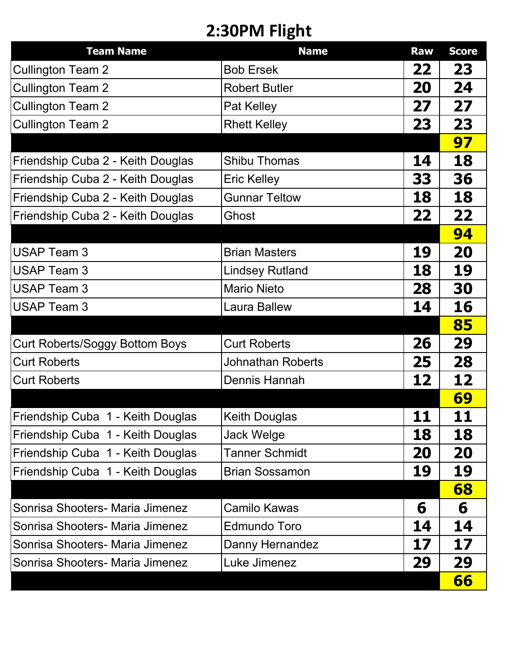### **2:30PM Flight**

| <b>Team Name</b>                  | <b>Name</b>              | <b>Raw</b> | <b>Score</b> |
|-----------------------------------|--------------------------|------------|--------------|
| <b>Cullington Team 2</b>          | <b>Bob Ersek</b>         | 22         | 23           |
| <b>Cullington Team 2</b>          | <b>Robert Butler</b>     | 20         | 24           |
| <b>Cullington Team 2</b>          | Pat Kelley               | 27         | 27           |
| <b>Cullington Team 2</b>          | <b>Rhett Kelley</b>      | 23         | 23           |
|                                   |                          |            | 97           |
| Friendship Cuba 2 - Keith Douglas | <b>Shibu Thomas</b>      | 14         | 18           |
| Friendship Cuba 2 - Keith Douglas | <b>Eric Kelley</b>       | 33         | 36           |
| Friendship Cuba 2 - Keith Douglas | <b>Gunnar Teltow</b>     | 18         | 18           |
| Friendship Cuba 2 - Keith Douglas | Ghost                    | 22         | 22           |
|                                   |                          |            | 94           |
| <b>USAP Team 3</b>                | <b>Brian Masters</b>     | 19         | 20           |
| <b>USAP Team 3</b>                | <b>Lindsey Rutland</b>   | 18         | 19           |
| <b>USAP Team 3</b>                | <b>Mario Nieto</b>       | 28         | 30           |
| <b>USAP Team 3</b>                | <b>Laura Ballew</b>      | 14         | 16           |
|                                   |                          |            | 85           |
| Curt Roberts/Soggy Bottom Boys    | <b>Curt Roberts</b>      | 26         | 29           |
| <b>Curt Roberts</b>               | <b>Johnathan Roberts</b> | 25         | 28           |
| <b>Curt Roberts</b>               | <b>Dennis Hannah</b>     | 12         | 12           |
|                                   |                          |            | <b>69</b>    |
| Friendship Cuba 1 - Keith Douglas | <b>Keith Douglas</b>     | 11         | 11           |
| Friendship Cuba 1 - Keith Douglas | Jack Welge               | 18         | 18           |
| Friendship Cuba 1 - Keith Douglas | <b>Tanner Schmidt</b>    | 20         | 20           |
| Friendship Cuba 1 - Keith Douglas | <b>Brian Sossamon</b>    | 19         | 19           |
|                                   |                          |            | 68           |
| Sonrisa Shooters- Maria Jimenez   | <b>Camilo Kawas</b>      | 6          | 6            |
| Sonrisa Shooters- Maria Jimenez   | <b>Edmundo Toro</b>      | 14         | 14           |
| Sonrisa Shooters- Maria Jimenez   | Danny Hernandez          | 17         | 17           |
| Sonrisa Shooters- Maria Jimenez   | Luke Jimenez             | 29         | 29           |
|                                   |                          |            | 66           |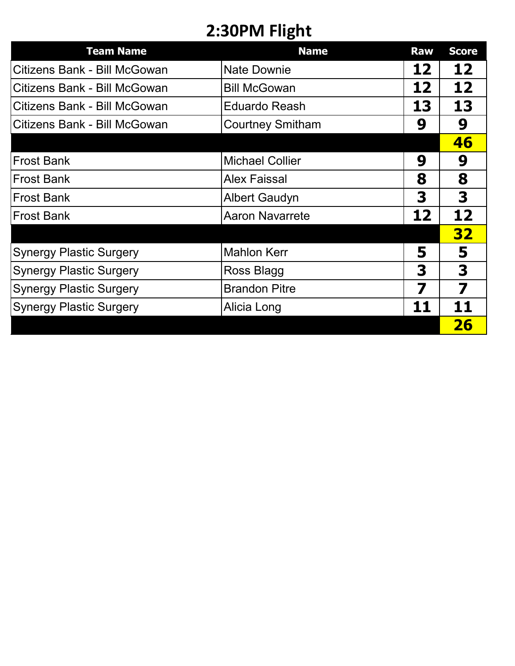### **2:30PM Flight**

| <b>Team Name</b>               | <b>Name</b>             | <b>Raw</b>        | <b>Score</b> |
|--------------------------------|-------------------------|-------------------|--------------|
| Citizens Bank - Bill McGowan   | <b>Nate Downie</b>      | 12                | 12           |
| Citizens Bank - Bill McGowan   | <b>Bill McGowan</b>     | 12                | 12           |
| Citizens Bank - Bill McGowan   | <b>Eduardo Reash</b>    | 13                | 13           |
| Citizens Bank - Bill McGowan   | <b>Courtney Smitham</b> | 9                 | 9            |
|                                |                         |                   | 46           |
| <b>Frost Bank</b>              | <b>Michael Collier</b>  | 9                 | 9            |
| <b>Frost Bank</b>              | <b>Alex Faissal</b>     | 8                 | 8            |
| <b>Frost Bank</b>              | <b>Albert Gaudyn</b>    | 3                 | 3            |
| <b>Frost Bank</b>              | <b>Aaron Navarrete</b>  | $12 \overline{ }$ | 12           |
|                                |                         |                   | <b>32</b>    |
| <b>Synergy Plastic Surgery</b> | <b>Mahlon Kerr</b>      | 5                 | 5            |
| <b>Synergy Plastic Surgery</b> | Ross Blagg              | 3                 | 3            |
| <b>Synergy Plastic Surgery</b> | <b>Brandon Pitre</b>    | 7                 | 7            |
| <b>Synergy Plastic Surgery</b> | Alicia Long             | 11                | 11           |
|                                |                         |                   | 26           |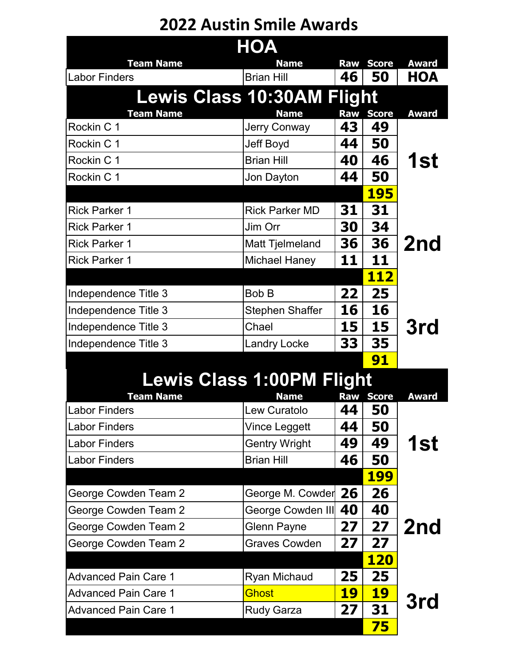#### **2022 Austin Smile Awards**

| <b>HOA</b>                        |                        |            |              |              |
|-----------------------------------|------------------------|------------|--------------|--------------|
| <b>Team Name</b>                  | <b>Name</b>            | <b>Raw</b> | <b>Score</b> | <b>Award</b> |
| <b>Labor Finders</b>              | <b>Brian Hill</b>      | 46         | 50           | HOA          |
| <b>Lewis Class 10:30AM Flight</b> |                        |            |              |              |
| <b>Team Name</b>                  | <b>Name</b>            | Raw        | <b>Score</b> | <b>Award</b> |
| Rockin C 1                        | <b>Jerry Conway</b>    | 43         | 49           |              |
| Rockin C 1                        | Jeff Boyd              | 44         | 50           |              |
| Rockin C 1                        | <b>Brian Hill</b>      | 40         | 46           | 1st          |
| Rockin C 1                        | Jon Dayton             | 44         | 50           |              |
|                                   |                        |            | <b>195</b>   |              |
| <b>Rick Parker 1</b>              | <b>Rick Parker MD</b>  | 31         | 31           |              |
| <b>Rick Parker 1</b>              | Jim Orr                | 30         | 34           |              |
| <b>Rick Parker 1</b>              | Matt Tjelmeland        | 36         | 36           | 2nd          |
| <b>Rick Parker 1</b>              | <b>Michael Haney</b>   | 11         | 11           |              |
|                                   |                        |            | <b>112</b>   |              |
| Independence Title 3              | <b>Bob B</b>           | 22         | 25           |              |
| Independence Title 3              | <b>Stephen Shaffer</b> | 16         | 16           |              |
| Independence Title 3              | Chael                  | 15         | 15           | 3rd          |
| Independence Title 3              | <b>Landry Locke</b>    | 33         | 35           |              |
|                                   |                        |            | 91           |              |
| <b>Lewis Class 1:00PM Flight</b>  |                        |            |              |              |
| <b>Team Name</b>                  | <b>Name</b>            | <b>Raw</b> | <b>Score</b> | <b>Award</b> |
| <b>Labor Finders</b>              | Lew Curatolo           | 44         | 50           |              |
| <b>Labor Finders</b>              | Vince Leggett          | 44         | 50           |              |
| <b>Labor Finders</b>              | <b>Gentry Wright</b>   | 49         | 49           | 1st          |
| <b>Labor Finders</b>              | <b>Brian Hill</b>      | 46         | 50           |              |
|                                   |                        |            | <b>199</b>   |              |
| George Cowden Team 2              | George M. Cowder       | 26         | 26           |              |
| George Cowden Team 2              | George Cowden III      | 40         | 40           |              |
| George Cowden Team 2              | <b>Glenn Payne</b>     | 27         | 27           | 2nd          |
| George Cowden Team 2              | <b>Graves Cowden</b>   | 27         | 27           |              |
|                                   |                        |            | <b>120</b>   |              |
| <b>Advanced Pain Care 1</b>       | <b>Ryan Michaud</b>    | 25         | 25           |              |
| <b>Advanced Pain Care 1</b>       | Ghost                  | <u> 19</u> | <u> 19</u>   |              |
| <b>Advanced Pain Care 1</b>       | <b>Rudy Garza</b>      | 27         | 31           | 3rd          |
|                                   |                        |            | 75           |              |